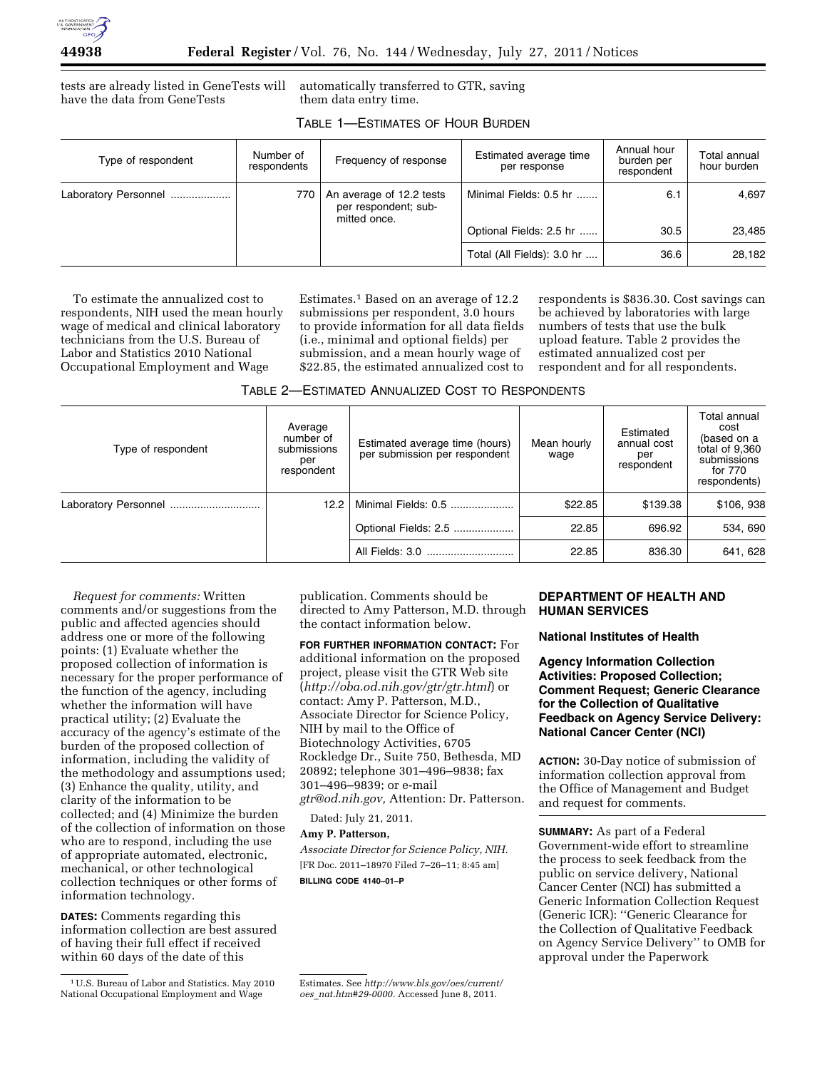

tests are already listed in GeneTests will have the data from GeneTests

automatically transferred to GTR, saving them data entry time.

| TABLE 1-ESTIMATES OF HOUR BURDEN |  |
|----------------------------------|--|
|----------------------------------|--|

| Type of respondent   | Number of<br>respondents | Frequency of response                                            | Estimated average time<br>per response | Annual hour<br>burden per<br>respondent | Total annual<br>hour burden |
|----------------------|--------------------------|------------------------------------------------------------------|----------------------------------------|-----------------------------------------|-----------------------------|
| Laboratory Personnel | 770                      | An average of 12.2 tests<br>per respondent; sub-<br>mitted once. | Minimal Fields: 0.5 hr                 | 6.1                                     | 4.697                       |
|                      |                          |                                                                  | Optional Fields: 2.5 hr                | 30.5                                    | 23,485                      |
|                      |                          |                                                                  | Total (All Fields): 3.0 hr             | 36.6                                    | 28.182                      |

To estimate the annualized cost to respondents, NIH used the mean hourly wage of medical and clinical laboratory technicians from the U.S. Bureau of Labor and Statistics 2010 National Occupational Employment and Wage

Estimates.1 Based on an average of 12.2 submissions per respondent, 3.0 hours to provide information for all data fields (i.e., minimal and optional fields) per submission, and a mean hourly wage of \$22.85, the estimated annualized cost to

respondents is \$836.30. Cost savings can be achieved by laboratories with large numbers of tests that use the bulk upload feature. Table 2 provides the estimated annualized cost per respondent and for all respondents.

| Type of respondent   | Average<br>number of<br>submissions<br>per<br>respondent | Estimated average time (hours)<br>per submission per respondent | Mean hourly<br>wage | Estimated<br>annual cost<br>per<br>respondent | Total annual<br>cost<br>(based on a<br>total of 9,360<br>submissions<br>for 770<br>respondents) |
|----------------------|----------------------------------------------------------|-----------------------------------------------------------------|---------------------|-----------------------------------------------|-------------------------------------------------------------------------------------------------|
| Laboratory Personnel | 12.2                                                     | Minimal Fields: 0.5                                             | \$22.85             | \$139.38                                      | \$106, 938                                                                                      |
|                      |                                                          | Optional Fields: 2.5                                            | 22.85               | 696.92                                        | 534, 690                                                                                        |
|                      |                                                          |                                                                 | 22.85               | 836.30                                        | 641, 628                                                                                        |

*Request for comments:* Written comments and/or suggestions from the public and affected agencies should address one or more of the following points: (1) Evaluate whether the proposed collection of information is necessary for the proper performance of the function of the agency, including whether the information will have practical utility; (2) Evaluate the accuracy of the agency's estimate of the burden of the proposed collection of information, including the validity of the methodology and assumptions used; (3) Enhance the quality, utility, and clarity of the information to be collected; and (4) Minimize the burden of the collection of information on those who are to respond, including the use of appropriate automated, electronic, mechanical, or other technological collection techniques or other forms of information technology.

**DATES:** Comments regarding this information collection are best assured of having their full effect if received within 60 days of the date of this

publication. Comments should be directed to Amy Patterson, M.D. through the contact information below.

**FOR FURTHER INFORMATION CONTACT:** For additional information on the proposed project, please visit the GTR Web site (*<http://oba.od.nih.gov/gtr/gtr.html>*) or contact: Amy P. Patterson, M.D., Associate Director for Science Policy, NIH by mail to the Office of Biotechnology Activities, 6705 Rockledge Dr., Suite 750, Bethesda, MD 20892; telephone 301–496–9838; fax 301–496–9839; or e-mail *[gtr@od.nih.gov,](mailto:gtr@od.nih.gov)* Attention: Dr. Patterson.

Dated: July 21, 2011.

**Amy P. Patterson,** 

*Associate Director for Science Policy, NIH.*  [FR Doc. 2011–18970 Filed 7–26–11; 8:45 am] **BILLING CODE 4140–01–P** 

## **DEPARTMENT OF HEALTH AND HUMAN SERVICES**

## **National Institutes of Health**

**Agency Information Collection Activities: Proposed Collection; Comment Request; Generic Clearance for the Collection of Qualitative Feedback on Agency Service Delivery: National Cancer Center (NCI)** 

**ACTION:** 30-Day notice of submission of information collection approval from the Office of Management and Budget and request for comments.

**SUMMARY:** As part of a Federal Government-wide effort to streamline the process to seek feedback from the public on service delivery, National Cancer Center (NCI) has submitted a Generic Information Collection Request (Generic ICR): ''Generic Clearance for the Collection of Qualitative Feedback on Agency Service Delivery'' to OMB for approval under the Paperwork

<sup>1</sup>U.S. Bureau of Labor and Statistics. May 2010 National Occupational Employment and Wage

Estimates. See *[http://www.bls.gov/oes/current/](http://www.bls.gov/oes/current/oes_nat.htm#29-0000) oes*\_*[nat.htm#29-0000.](http://www.bls.gov/oes/current/oes_nat.htm#29-0000)* Accessed June 8, 2011.